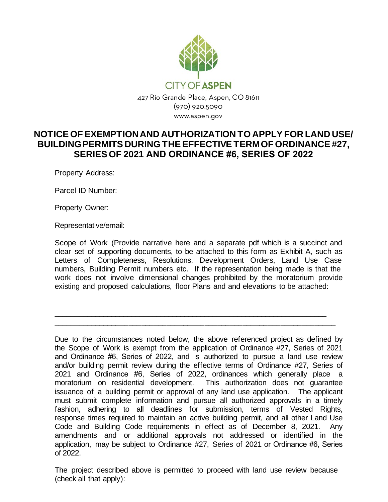

## **NOTICE OF EXEMPTION AND AUTHORIZATION TO APPLY FOR LAND USE/ BUILDING PERMITS DURING THE EFFECTIVE TERM OF ORDINANCE #27, SERIES OF 2021 AND ORDINANCE #6, SERIES OF 2022**

Property Address:

Parcel ID Number:

Property Owner:

Representative/email:

Scope of Work (Provide narrative here and a separate pdf which is a succinct and clear set of supporting documents, to be attached to this form as Exhibit A, such as Letters of Completeness, Resolutions, Development Orders, Land Use Case numbers, Building Permit numbers etc. If the representation being made is that the work does not involve dimensional changes prohibited by the moratorium provide existing and proposed calculations, floor Plans and and elevations to be attached:

\_\_\_\_\_\_\_\_\_\_\_\_\_\_\_\_\_\_\_\_\_\_\_\_\_\_\_\_\_\_\_\_\_\_\_\_\_\_\_\_\_\_\_\_\_\_\_\_\_\_\_\_\_\_\_\_\_\_\_\_\_\_\_\_\_\_\_ \_\_\_\_\_\_\_\_\_\_\_\_\_\_\_\_\_\_\_\_\_\_\_\_\_\_\_\_\_\_\_\_\_\_\_\_\_\_\_\_\_\_\_\_\_\_\_\_\_\_\_\_\_\_\_\_\_\_\_\_\_\_\_\_\_\_\_

Due to the circumstances noted below, the above referenced project as defined by the Scope of Work is exempt from the application of Ordinance #27, Series of 2021 and Ordinance #6, Series of 2022, and is authorized to pursue a land use review and/or building permit review during the effective terms of Ordinance #27, Series of 2021 and Ordinance #6, Series of 2022, ordinances which generally place a moratorium on residential development. This authorization does not guarantee issuance of a building permit or approval of any land use application. The applicant must submit complete information and pursue all authorized approvals in a timely fashion, adhering to all deadlines for submission, terms of Vested Rights, response times required to maintain an active building permit, and all other Land Use Code and Building Code requirements in effect as of December 8, 2021. Any amendments and or additional approvals not addressed or identified in the application, may be subject to Ordinance #27, Series of 2021 or Ordinance #6, Series of 2022.

The project described above is permitted to proceed with land use review because (check all that apply):